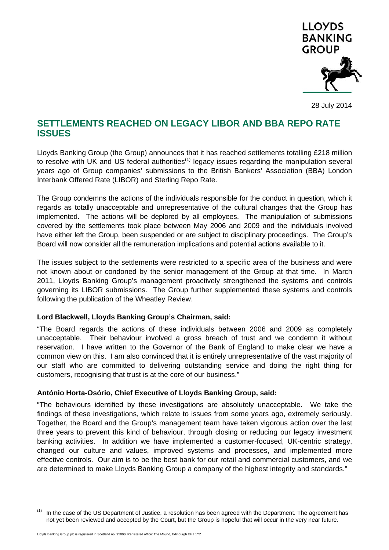

28 July 2014

## **SETTLEMENTS REACHED ON LEGACY LIBOR AND BBA REPO RATE ISSUES**

Lloyds Banking Group (the Group) announces that it has reached settlements totalling £218 million to resolve with UK and US federal authorities<sup> $(1)$ </sup> legacy issues regarding the manipulation several years ago of Group companies' submissions to the British Bankers' Association (BBA) London Interbank Offered Rate (LIBOR) and Sterling Repo Rate.

The Group condemns the actions of the individuals responsible for the conduct in question, which it regards as totally unacceptable and unrepresentative of the cultural changes that the Group has implemented. The actions will be deplored by all employees. The manipulation of submissions covered by the settlements took place between May 2006 and 2009 and the individuals involved have either left the Group, been suspended or are subject to disciplinary proceedings. The Group's Board will now consider all the remuneration implications and potential actions available to it.

The issues subject to the settlements were restricted to a specific area of the business and were not known about or condoned by the senior management of the Group at that time. In March 2011, Lloyds Banking Group's management proactively strengthened the systems and controls governing its LIBOR submissions. The Group further supplemented these systems and controls following the publication of the Wheatley Review.

## **Lord Blackwell, Lloyds Banking Group's Chairman, said:**

"The Board regards the actions of these individuals between 2006 and 2009 as completely unacceptable. Their behaviour involved a gross breach of trust and we condemn it without reservation. I have written to the Governor of the Bank of England to make clear we have a common view on this. I am also convinced that it is entirely unrepresentative of the vast majority of our staff who are committed to delivering outstanding service and doing the right thing for customers, recognising that trust is at the core of our business."

## **António Horta-Osório, Chief Executive of Lloyds Banking Group, said:**

"The behaviours identified by these investigations are absolutely unacceptable. We take the findings of these investigations, which relate to issues from some years ago, extremely seriously. Together, the Board and the Group's management team have taken vigorous action over the last three years to prevent this kind of behaviour, through closing or reducing our legacy investment banking activities. In addition we have implemented a customer-focused, UK-centric strategy, changed our culture and values, improved systems and processes, and implemented more effective controls. Our aim is to be the best bank for our retail and commercial customers, and we are determined to make Lloyds Banking Group a company of the highest integrity and standards."

 $(1)$  In the case of the US Department of Justice, a resolution has been agreed with the Department. The agreement has not yet been reviewed and accepted by the Court, but the Group is hopeful that will occur in the very near future.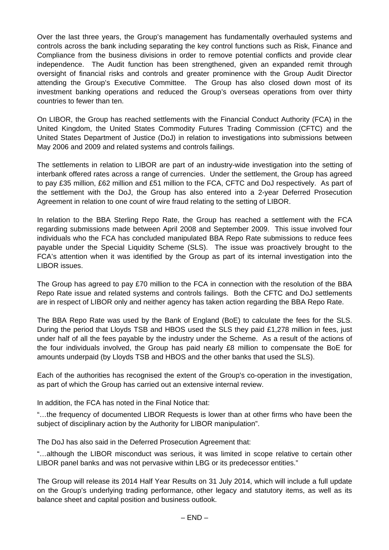Over the last three years, the Group's management has fundamentally overhauled systems and controls across the bank including separating the key control functions such as Risk, Finance and Compliance from the business divisions in order to remove potential conflicts and provide clear independence. The Audit function has been strengthened, given an expanded remit through oversight of financial risks and controls and greater prominence with the Group Audit Director attending the Group's Executive Committee. The Group has also closed down most of its investment banking operations and reduced the Group's overseas operations from over thirty countries to fewer than ten.

On LIBOR, the Group has reached settlements with the Financial Conduct Authority (FCA) in the United Kingdom, the United States Commodity Futures Trading Commission (CFTC) and the United States Department of Justice (DoJ) in relation to investigations into submissions between May 2006 and 2009 and related systems and controls failings.

The settlements in relation to LIBOR are part of an industry-wide investigation into the setting of interbank offered rates across a range of currencies. Under the settlement, the Group has agreed to pay £35 million, £62 million and £51 million to the FCA, CFTC and DoJ respectively. As part of the settlement with the DoJ, the Group has also entered into a 2-year Deferred Prosecution Agreement in relation to one count of wire fraud relating to the setting of LIBOR.

In relation to the BBA Sterling Repo Rate, the Group has reached a settlement with the FCA regarding submissions made between April 2008 and September 2009. This issue involved four individuals who the FCA has concluded manipulated BBA Repo Rate submissions to reduce fees payable under the Special Liquidity Scheme (SLS). The issue was proactively brought to the FCA's attention when it was identified by the Group as part of its internal investigation into the LIBOR issues.

The Group has agreed to pay £70 million to the FCA in connection with the resolution of the BBA Repo Rate issue and related systems and controls failings. Both the CFTC and DoJ settlements are in respect of LIBOR only and neither agency has taken action regarding the BBA Repo Rate.

The BBA Repo Rate was used by the Bank of England (BoE) to calculate the fees for the SLS. During the period that Lloyds TSB and HBOS used the SLS they paid £1,278 million in fees, just under half of all the fees payable by the industry under the Scheme. As a result of the actions of the four individuals involved, the Group has paid nearly £8 million to compensate the BoE for amounts underpaid (by Lloyds TSB and HBOS and the other banks that used the SLS).

Each of the authorities has recognised the extent of the Group's co-operation in the investigation, as part of which the Group has carried out an extensive internal review.

In addition, the FCA has noted in the Final Notice that:

"…the frequency of documented LIBOR Requests is lower than at other firms who have been the subject of disciplinary action by the Authority for LIBOR manipulation".

The DoJ has also said in the Deferred Prosecution Agreement that:

"…although the LIBOR misconduct was serious, it was limited in scope relative to certain other LIBOR panel banks and was not pervasive within LBG or its predecessor entities."

The Group will release its 2014 Half Year Results on 31 July 2014, which will include a full update on the Group's underlying trading performance, other legacy and statutory items, as well as its balance sheet and capital position and business outlook.